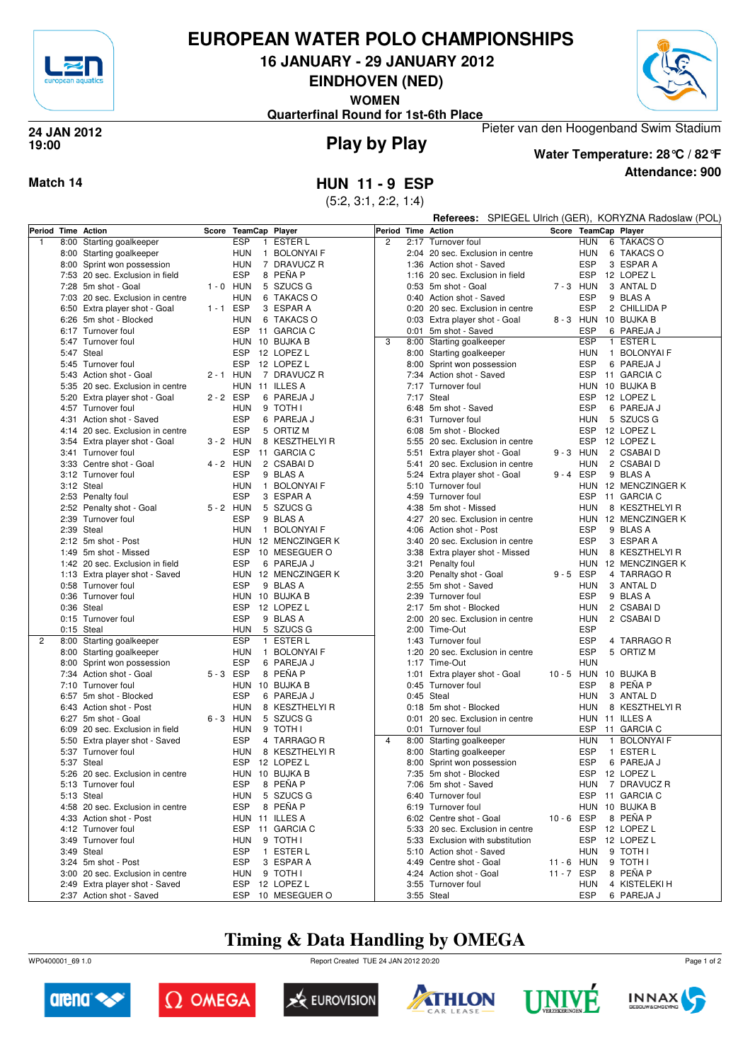

## **EUROPEAN WATER POLO CHAMPIONSHIPS**

**16 JANUARY - 29 JANUARY 2012**

**EINDHOVEN (NED)**

**WOMEN**

Pieter van den Hoogenband Swim Stadium **Quarterfinal Round for 1st-6th Place**



#### **Play by Play 24 JAN 2012 19:00**

#### **Attendance: 900 Water Temperature: 28°C / 82°F**

**Match 14 HUN 11 - 9 ESP** (5:2, 3:1, 2:2, 1:4)

**Referees:** SPIEGEL Ulrich (GER), KORYZNA Radoslaw (POL)

| Period Time  | Action                           | Score       | TeamCap Player |                     | Period Time Action |      |                                  | Score       |            | TeamCap Player        |
|--------------|----------------------------------|-------------|----------------|---------------------|--------------------|------|----------------------------------|-------------|------------|-----------------------|
| $\mathbf{1}$ | 8:00 Starting goalkeeper         |             | <b>ESP</b>     | 1 ESTER L           | $\overline{c}$     |      | 2:17 Turnover foul               |             | <b>HUN</b> | 6 TAKACS O            |
|              | 8:00 Starting goalkeeper         |             | <b>HUN</b>     | 1 BOLONYAI F        |                    |      | 2:04 20 sec. Exclusion in centre |             | HUN        | 6 TAKACS O            |
|              | 8:00 Sprint won possession       |             | <b>HUN</b>     | 7 DRAVUCZ R         |                    |      | 1:36 Action shot - Saved         |             | <b>ESP</b> | 3 ESPAR A             |
|              | 7:53 20 sec. Exclusion in field  |             | <b>ESP</b>     | 8 PEÑA P            |                    |      | 1:16 20 sec. Exclusion in field  |             | ESP        | 12 LOPEZ L            |
|              | 7:28 5m shot - Goal              | $1 - 0$ HUN |                | 5 SZUCS G           |                    |      | 0:53 5m shot - Goal              | 7-3 HUN     |            | 3 ANTAL D             |
|              |                                  |             |                |                     |                    |      |                                  |             |            |                       |
|              | 7:03 20 sec. Exclusion in centre |             | <b>HUN</b>     | 6 TAKACS O          |                    |      | 0:40 Action shot - Saved         |             | <b>ESP</b> | 9 BLAS A              |
|              | 6:50 Extra player shot - Goal    | $1 - 1$ ESP |                | 3 ESPAR A           |                    |      | 0:20 20 sec. Exclusion in centre |             | <b>ESP</b> | 2 CHILLIDA P          |
|              | 6:26 5m shot - Blocked           |             | <b>HUN</b>     | 6 TAKACS O          |                    |      | 0:03 Extra player shot - Goal    |             |            | 8-3 HUN 10 BUJKA B    |
|              | 6:17 Turnover foul               |             |                | ESP 11 GARCIA C     |                    |      | 0:01 5m shot - Saved             |             | <b>ESP</b> | 6 PAREJA J            |
|              | 5:47 Turnover foul               |             |                | HUN 10 BUJKA B      | 3                  |      | 8:00 Starting goalkeeper         |             | <b>ESP</b> | 1 ESTER L             |
|              | 5:47 Steal                       |             | ESP            | 12 LOPEZ L          |                    |      | 8:00 Starting goalkeeper         |             | <b>HUN</b> | 1 BOLONYAI F          |
|              | 5:45 Turnover foul               |             | <b>ESP</b>     | 12 LOPEZ L          |                    |      | 8:00 Sprint won possession       |             | <b>ESP</b> | 6 PAREJA J            |
|              | 5:43 Action shot - Goal          | 2 - 1 HUN   |                | 7 DRAVUCZ R         |                    |      | 7:34 Action shot - Saved         |             | <b>ESP</b> | 11 GARCIA C           |
|              | 5:35 20 sec. Exclusion in centre |             |                | HUN 11 ILLES A      |                    |      | 7:17 Turnover foul               |             |            | HUN 10 BUJKA B        |
|              | 5:20 Extra player shot - Goal    | 2-2 ESP     |                | 6 PAREJA J          |                    |      | 7:17 Steal                       |             | ESP        | 12 LOPEZ L            |
|              | 4:57 Turnover foul               |             | <b>HUN</b>     | 9 TOTH I            |                    |      | 6:48 5m shot - Saved             |             | <b>ESP</b> | 6 PAREJA J            |
|              |                                  |             |                |                     |                    |      |                                  |             |            |                       |
|              | 4:31 Action shot - Saved         |             | <b>ESP</b>     | 6 PAREJA J          |                    |      | 6:31 Turnover foul               |             | <b>HUN</b> | 5 SZUCS G             |
|              | 4:14 20 sec. Exclusion in centre |             | <b>ESP</b>     | 5 ORTIZ M           |                    |      | 6:08 5m shot - Blocked           |             | <b>ESP</b> | 12 LOPEZ L            |
|              | 3:54 Extra player shot - Goal    | $3 - 2$ HUN |                | 8 KESZTHELYI R      |                    |      | 5:55 20 sec. Exclusion in centre |             | ESP        | 12 LOPEZ L            |
|              | 3:41 Turnover foul               |             | ESP            | 11 GARCIA C         |                    |      | 5:51 Extra player shot - Goal    | $9 - 3$ HUN |            | 2 CSABAI D            |
|              | 3:33 Centre shot - Goal          | 4 - 2 HUN   |                | 2 CSABAI D          |                    |      | 5:41 20 sec. Exclusion in centre |             | HUN        | 2 CSABAID             |
|              | 3:12 Turnover foul               |             | <b>ESP</b>     | 9 BLAS A            |                    |      | 5:24 Extra player shot - Goal    | $9 - 4$ ESP |            | 9 BLAS A              |
|              | 3:12 Steal                       |             | <b>HUN</b>     | 1 BOLONYAI F        |                    |      | 5:10 Turnover foul               |             |            | HUN 12 MENCZINGER K   |
|              | 2:53 Penalty foul                |             | <b>ESP</b>     | 3 ESPAR A           |                    |      | 4:59 Turnover foul               |             | <b>ESP</b> | 11 GARCIA C           |
|              | 2:52 Penalty shot - Goal         | 5-2 HUN     |                | 5 SZUCS G           |                    |      | 4:38 5m shot - Missed            |             | <b>HUN</b> | 8 KESZTHELYI R        |
|              | 2:39 Turnover foul               |             | <b>ESP</b>     | 9 BLAS A            |                    | 4:27 | 20 sec. Exclusion in centre      |             |            | HUN 12 MENCZINGER K   |
|              | 2:39 Steal                       |             | <b>HUN</b>     | 1 BOLONYAI F        |                    |      |                                  |             | <b>ESP</b> | 9 BLAS A              |
|              |                                  |             |                |                     |                    |      | 4:06 Action shot - Post          |             |            |                       |
|              | 2:12 5m shot - Post              |             |                | HUN 12 MENCZINGER K |                    |      | 3:40 20 sec. Exclusion in centre |             | <b>ESP</b> | 3 ESPAR A             |
|              | 1:49 5m shot - Missed            |             | <b>ESP</b>     | 10 MESEGUER O       |                    |      | 3:38 Extra player shot - Missed  |             | HUN        | 8 KESZTHELYI R        |
|              | 1:42 20 sec. Exclusion in field  |             | <b>ESP</b>     | 6 PAREJA J          |                    |      | 3:21 Penalty foul                |             |            | HUN 12 MENCZINGER K   |
|              | 1:13 Extra player shot - Saved   |             |                | HUN 12 MENCZINGER K |                    |      | 3:20 Penalty shot - Goal         | $9 - 5$ ESP |            | 4 TARRAGO R           |
|              | 0:58 Turnover foul               |             | <b>ESP</b>     | 9 BLAS A            |                    |      | 2:55 5m shot - Saved             |             | HUN        | 3 ANTAL D             |
|              | 0:36 Turnover foul               |             |                | HUN 10 BUJKA B      |                    |      | 2:39 Turnover foul               |             | <b>ESP</b> | 9 BLAS A              |
|              | 0:36 Steal                       |             |                | ESP 12 LOPEZ L      |                    |      | 2:17 5m shot - Blocked           |             | <b>HUN</b> | 2 CSABAID             |
|              | 0:15 Turnover foul               |             | <b>ESP</b>     | 9 BLAS A            |                    | 2:00 | 20 sec. Exclusion in centre      |             | HUN        | 2 CSABAID             |
|              | $0:15$ Steal                     |             | <b>HUN</b>     | 5 SZUCS G           |                    |      | 2:00 Time-Out                    |             | <b>ESP</b> |                       |
| 2            | 8:00 Starting goalkeeper         |             | <b>ESP</b>     | 1 ESTER L           |                    |      | 1:43 Turnover foul               |             | <b>ESP</b> | 4 TARRAGO R           |
|              |                                  |             | <b>HUN</b>     | 1 BOLONYAI F        |                    |      | 1:20 20 sec. Exclusion in centre |             | <b>ESP</b> | 5 ORTIZ M             |
|              | 8:00 Starting goalkeeper         |             |                |                     |                    |      |                                  |             |            |                       |
|              | 8:00 Sprint won possession       |             | <b>ESP</b>     | 6 PAREJA J          |                    |      | 1:17 Time-Out                    |             | <b>HUN</b> |                       |
|              | 7:34 Action shot - Goal          | 5-3 ESP     |                | 8 PEÑA P            |                    |      | 1:01 Extra player shot - Goal    |             |            | 10 - 5 HUN 10 BUJKA B |
|              | 7:10 Turnover foul               |             |                | HUN 10 BUJKA B      |                    |      | 0:45 Turnover foul               |             | <b>ESP</b> | 8 PEÑA P              |
|              | 6:57 5m shot - Blocked           |             | <b>ESP</b>     | 6 PAREJA J          |                    |      | 0:45 Steal                       |             | HUN        | 3 ANTAL D             |
|              | 6:43 Action shot - Post          |             | <b>HUN</b>     | 8 KESZTHELYI R      |                    |      | 0:18 5m shot - Blocked           |             | HUN        | 8 KESZTHELYI R        |
|              | 6:27 5m shot - Goal              | 6-3 HUN     |                | 5 SZUCS G           |                    |      | 0:01 20 sec. Exclusion in centre |             |            | HUN 11 ILLES A        |
|              | 6:09 20 sec. Exclusion in field  |             | <b>HUN</b>     | 9 TOTH I            |                    |      | 0:01 Turnover foul               |             |            | ESP 11 GARCIA C       |
|              | 5:50 Extra player shot - Saved   |             | <b>ESP</b>     | 4 TARRAGO R         | $\overline{4}$     |      | 8:00 Starting goalkeeper         |             | <b>HUN</b> | 1 BOLONYAI F          |
|              | 5:37 Turnover foul               |             | <b>HUN</b>     | 8 KESZTHELYI R      |                    |      | 8:00 Starting goalkeeper         |             | <b>ESP</b> | 1 ESTER L             |
|              | 5:37 Steal                       |             | ESP            | 12 LOPEZ L          |                    | 8:00 | Sprint won possession            |             | <b>ESP</b> | 6 PAREJA J            |
|              | 5:26 20 sec. Exclusion in centre |             |                | HUN 10 BUJKA B      |                    |      | 7:35 5m shot - Blocked           |             | ESP        | 12 LOPEZ L            |
|              | 5:13 Turnover foul               |             | <b>ESP</b>     | 8 PEÑA P            |                    |      | 7:06 5m shot - Saved             |             | HUN        | 7 DRAVUCZ R           |
|              |                                  |             |                |                     |                    |      |                                  |             |            |                       |
|              | 5:13 Steal                       |             | HUN            | 5 SZUCS G           |                    |      | 6:40 Turnover foul               |             |            | ESP 11 GARCIA C       |
|              | 4:58 20 sec. Exclusion in centre |             | ESP            | 8 PEÑA P            |                    |      | 6:19 Turnover foul               |             |            | HUN 10 BUJKA B        |
|              | 4:33 Action shot - Post          |             |                | HUN 11 ILLES A      |                    |      | 6:02 Centre shot - Goal          | 10-6 ESP    |            | 8 PEÑA P              |
|              | 4:12 Turnover foul               |             |                | ESP 11 GARCIA C     |                    |      | 5:33 20 sec. Exclusion in centre |             | <b>ESP</b> | 12 LOPEZ L            |
|              | 3:49 Turnover foul               |             | <b>HUN</b>     | 9 TOTH I            |                    |      | 5:33 Exclusion with substitution |             |            | ESP 12 LOPEZ L        |
|              | 3:49 Steal                       |             | <b>ESP</b>     | 1 ESTER L           |                    |      | 5:10 Action shot - Saved         |             | <b>HUN</b> | 9 TOTH I              |
|              | 3:24 5m shot - Post              |             | ESP            | 3 ESPAR A           |                    |      | 4:49 Centre shot - Goal          | 11 - 6 HUN  |            | 9 TOTH I              |
|              | 3:00 20 sec. Exclusion in centre |             | <b>HUN</b>     | 9 TOTH I            |                    |      | 4:24 Action shot - Goal          | 11-7 ESP    |            | 8 PEÑA P              |
|              | 2:49 Extra player shot - Saved   |             |                | ESP 12 LOPEZ L      |                    |      | 3:55 Turnover foul               |             | <b>HUN</b> | 4 KISTELEKI H         |
|              | 2:37 Action shot - Saved         |             |                | ESP 10 MESEGUER O   |                    |      | 3:55 Steal                       |             | ESP        | 6 PAREJA J            |
|              |                                  |             |                |                     |                    |      |                                  |             |            |                       |

## **Timing & Data Handling by OMEGA**

WP0400001\_69 1.0 Report Created TUE 24 JAN 2012 20:20













Page 1 of 2